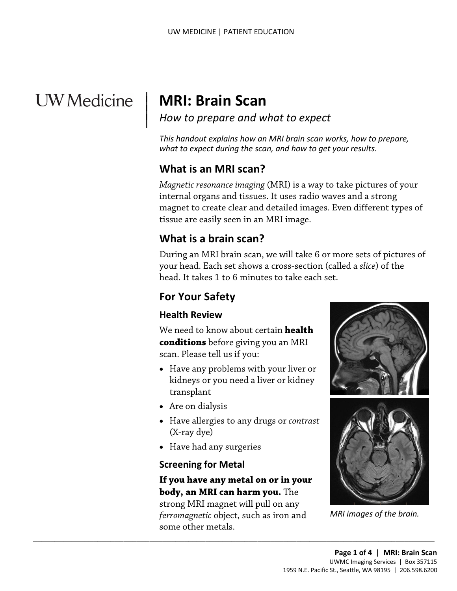# **UW** Medicine

 $\overline{\phantom{a}}$ 

## | **MRI: Brain Scan**

*How to prepare and what to expect* | |

 *what to expect during the scan, and how to get your results. This handout explains how an MRI brain scan works, how to prepare,* 

## **What is an MRI scan?**

*Magnetic resonance imaging* (MRI) is a way to take pictures of your internal organs and tissues. It uses radio waves and a strong magnet to create clear and detailed images. Even different types of tissue are easily seen in an MRI image.

## **What is a brain scan?**

 head. It takes 1 to 6 minutes to take each set. During an MRI brain scan, we will take 6 or more sets of pictures of your head. Each set shows a cross-section (called a *slice*) of the

## **For Your Safety**

#### **Health Review**

We need to know about certain **health conditions** before giving you an MRI scan. Please tell us if you:

- Have any problems with your liver or kidneys or you need a liver or kidney transplant
- Are on dialysis
- Have allergies to any drugs or *contrast*  (X-ray dye)
- Have had any surgeries

#### **Screening for Metal**

#### **If you have any metal on or in your body, an MRI can harm you.** The

strong MRI magnet will pull on any *ferromagnetic* object, such as iron and some other metals.

 $\_$  , and the set of the set of the set of the set of the set of the set of the set of the set of the set of the set of the set of the set of the set of the set of the set of the set of the set of the set of the set of th





*MRI images of the brain.*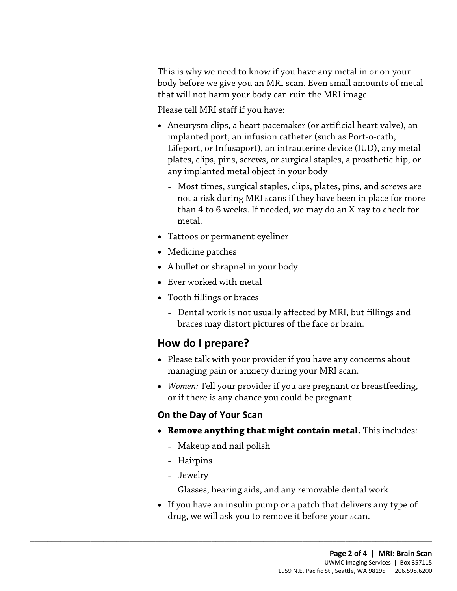that will not harm your body can ruin the MRI image.<br>Please tell MRI staff if you have: This is why we need to know if you have any metal in or on your body before we give you an MRI scan. Even small amounts of metal

- Aneurysm clips, a heart pacemaker (or artificial heart valve), an implanted port, an infusion catheter (such as Port-o-cath, Lifeport, or Infusaport), an intrauterine device (IUD), any metal plates, clips, pins, screws, or surgical staples, a prosthetic hip, or any implanted metal object in your body
	- Most times, surgical staples, clips, plates, pins, and screws are not a risk during MRI scans if they have been in place for more than 4 to 6 weeks. If needed, we may do an X-ray to check for metal.
- Tattoos or permanent eyeliner
- Medicine patches
- A bullet or shrapnel in your body
- Ever worked with metal
- Tooth fillings or braces
	- Dental work is not usually affected by MRI, but fillings and braces may distort pictures of the face or brain.

## **How do I prepare?**

- Please talk with your provider if you have any concerns about managing pain or anxiety during your MRI scan.
- *Women:* Tell your provider if you are pregnant or breastfeeding, or if there is any chance you could be pregnant.

#### **On the Day of Your Scan**

- • **Remove anything that might contain metal.** This includes:
	- Makeup and nail polish

 $\_$  ,  $\_$  ,  $\_$  ,  $\_$  ,  $\_$  ,  $\_$  ,  $\_$  ,  $\_$  ,  $\_$  ,  $\_$  ,  $\_$  ,  $\_$  ,  $\_$  ,  $\_$  ,  $\_$  ,  $\_$  ,  $\_$  ,  $\_$  ,  $\_$  ,  $\_$  ,  $\_$  ,  $\_$  ,  $\_$  ,  $\_$  ,  $\_$  ,  $\_$  ,  $\_$  ,  $\_$  ,  $\_$  ,  $\_$  ,  $\_$  ,  $\_$  ,  $\_$  ,  $\_$  ,  $\_$  ,  $\_$  ,  $\_$  ,

- Hairpins
- Jewelry
- Glasses, hearing aids, and any removable dental work
- If you have an insulin pump or a patch that delivers any type of drug, we will ask you to remove it before your scan.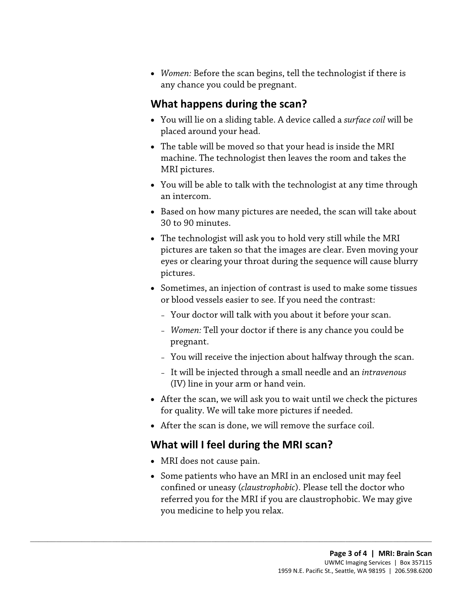• *Women:* Before the scan begins, tell the technologist if there is any chance you could be pregnant.

### **What happens during the scan?**

- You will lie on a sliding table. A device called a *surface coil* will be placed around your head.
- MRI pictures. • The table will be moved so that your head is inside the MRI [machine.](javascript:glossAry() The technologist then leaves the room and takes the
- • You will be able to talk with the [technologist](javascript:glossAry() at any time through an intercom.
- Based on how many pictures are needed, the scan will take about 30 to 90 minutes.
- The technologist will ask you to hold very still while the MRI pictures are taken so that the images are clear. Even moving your eyes or clearing your throat during the sequence will cause blurry pictures.
- or blood vessels easier to see. If you need the contrast: • Sometimes, an injection of contrast is used to make some tissues
	- Your doctor will talk with you about it before your scan.
	- *Women:* Tell your doctor if there is any chance you could be pregnant.
	- You will receive the injection about halfway through the scan.
	- It will be injected through a small needle and an *intravenous*  (IV) line in your arm or hand vein.
- After the scan, we will ask you to wait until we check the pictures for quality. We will take more pictures if needed.
- After the scan is done, we will remove the surface coil.

## **What will I feel during the MRI scan?**

 $\_$  ,  $\_$  ,  $\_$  ,  $\_$  ,  $\_$  ,  $\_$  ,  $\_$  ,  $\_$  ,  $\_$  ,  $\_$  ,  $\_$  ,  $\_$  ,  $\_$  ,  $\_$  ,  $\_$  ,  $\_$  ,  $\_$  ,  $\_$  ,  $\_$  ,  $\_$  ,  $\_$  ,  $\_$  ,  $\_$  ,  $\_$  ,  $\_$  ,  $\_$  ,  $\_$  ,  $\_$  ,  $\_$  ,  $\_$  ,  $\_$  ,  $\_$  ,  $\_$  ,  $\_$  ,  $\_$  ,  $\_$  ,  $\_$  ,

- MRI does not cause pain.
- Some patients who have an MRI in an enclosed unit may feel confined or uneasy (*claustrophobic*). Please tell the doctor who referred you for the MRI if you are claustrophobic. We may give you medicine to help you relax.